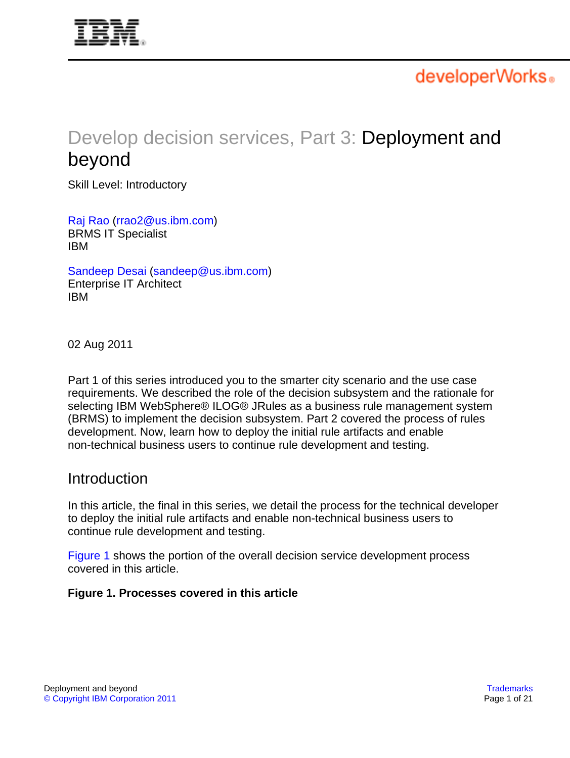<span id="page-0-1"></span>

developerWorks.

# Develop decision services, Part 3: Deployment and beyond

Skill Level: Introductory

[Raj Rao](#page-20-0) ([rrao2@us.ibm.com](mailto:rrao2@us.ibm.com)) BRMS IT Specialist IBM

[Sandeep Desai](#page-20-0) [\(sandeep@us.ibm.com\)](mailto:sandeep@us.ibm.com) Enterprise IT Architect IBM

02 Aug 2011

Part 1 of this series introduced you to the smarter city scenario and the use case requirements. We described the role of the decision subsystem and the rationale for selecting IBM WebSphere® ILOG® JRules as a business rule management system (BRMS) to implement the decision subsystem. Part 2 covered the process of rules development. Now, learn how to deploy the initial rule artifacts and enable non-technical business users to continue rule development and testing.

## **Introduction**

In this article, the final in this series, we detail the process for the technical developer to deploy the initial rule artifacts and enable non-technical business users to continue rule development and testing.

[Figure 1](#page-0-0) shows the portion of the overall decision service development process covered in this article.

#### <span id="page-0-0"></span>**Figure 1. Processes covered in this article**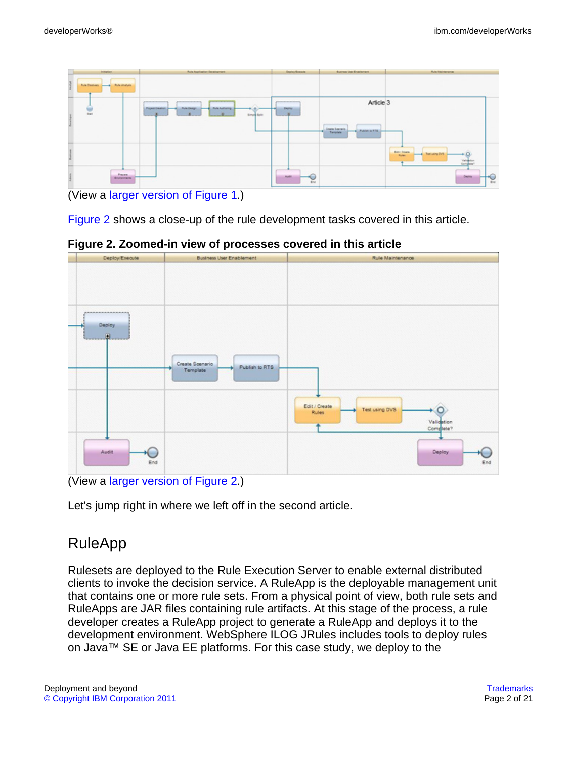

<sup>(</sup>View a [larger version of Figure 1.](sidefile-figure1lrg.html))

[Figure 2](#page-1-0) shows a close-up of the rule development tasks covered in this article.

Create Soenario Publish to RTS Ten Edit / Create Fest using DVS Rules Deploy

<span id="page-1-0"></span>**Figure 2. Zoomed-in view of processes covered in this article**

Let's jump right in where we left off in the second article.

# RuleApp

Rulesets are deployed to the Rule Execution Server to enable external distributed clients to invoke the decision service. A RuleApp is the deployable management unit that contains one or more rule sets. From a physical point of view, both rule sets and RuleApps are JAR files containing rule artifacts. At this stage of the process, a rule developer creates a RuleApp project to generate a RuleApp and deploys it to the development environment. WebSphere ILOG JRules includes tools to deploy rules on Java™ SE or Java EE platforms. For this case study, we deploy to the

<sup>(</sup>View a [larger version of Figure 2.](sidefile-figure2lrg.html))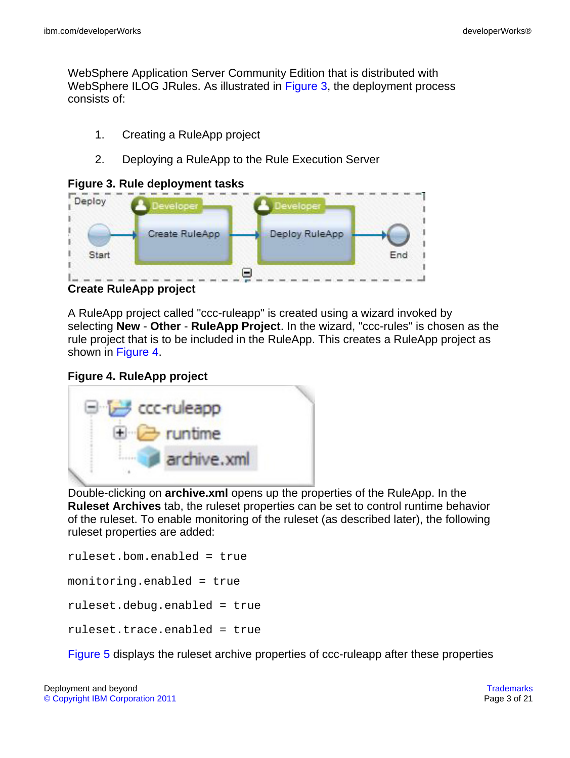WebSphere Application Server Community Edition that is distributed with WebSphere ILOG JRules. As illustrated in [Figure 3,](#page-2-0) the deployment process consists of:

- 1. Creating a RuleApp project
- 2. Deploying a RuleApp to the Rule Execution Server

#### <span id="page-2-0"></span>**Figure 3. Rule deployment tasks**

<span id="page-2-2"></span>

**Create RuleApp project**

A RuleApp project called "ccc-ruleapp" is created using a wizard invoked by selecting **New** - **Other** - **RuleApp Project**. In the wizard, "ccc-rules" is chosen as the rule project that is to be included in the RuleApp. This creates a RuleApp project as shown in [Figure 4.](#page-2-1)

### <span id="page-2-1"></span>**Figure 4. RuleApp project**



Double-clicking on **archive.xml** opens up the properties of the RuleApp. In the **Ruleset Archives** tab, the ruleset properties can be set to control runtime behavior of the ruleset. To enable monitoring of the ruleset (as described later), the following ruleset properties are added:

```
ruleset.bom.enabled = true
monitoring.enabled = true
ruleset.debug.enabled = true
ruleset.trace.enabled = true
```
[Figure 5](#page-3-0) displays the ruleset archive properties of ccc-ruleapp after these properties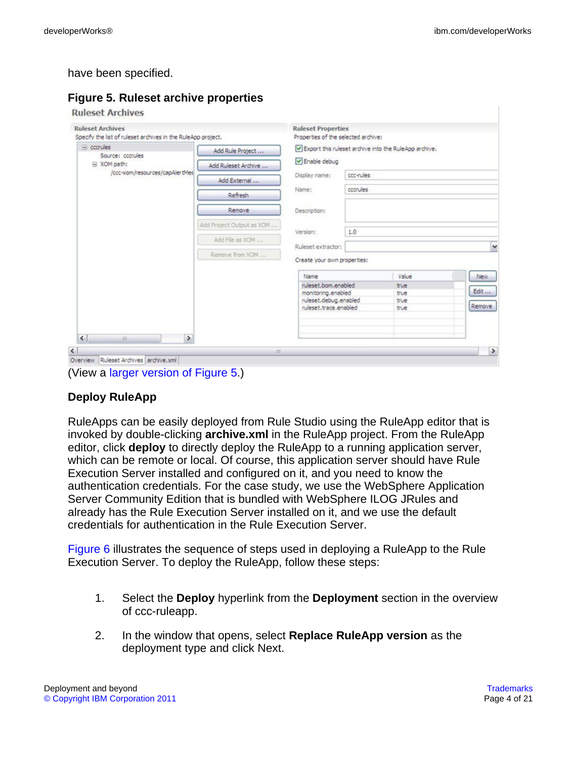#### have been specified.

#### <span id="page-3-0"></span>**Figure 5. Ruleset archive properties**

#### **Ruleset Archives**

| Specify the list of ruleset archives in the RuleApp project. |                           | Properties of the selected archive:       |           |                                                       |               |
|--------------------------------------------------------------|---------------------------|-------------------------------------------|-----------|-------------------------------------------------------|---------------|
| $\equiv$ cccrules<br>Source: cccrules                        | Add Rule Project          |                                           |           | Deport this ruleset archive into the RuleApp archive. |               |
| □ XOM path:                                                  | Add Ruleset Archive       | Enable debug                              |           |                                                       |               |
| /ccc-xom/resources/capAlertMes                               | Add External              | Display name:                             | ccc-rules |                                                       |               |
|                                                              | Refresh                   | Name:                                     | cccrules  |                                                       |               |
|                                                              | <b>Remove</b>             | Description:                              |           |                                                       |               |
|                                                              | Add Project Output as XOM | Version:                                  | 1.0       |                                                       |               |
|                                                              | Add File as XOM           | Ruleset extractor:                        |           |                                                       | $\mathbf{v}$  |
|                                                              | Remove from XOM           | Create your own properties:               |           |                                                       |               |
|                                                              |                           | Name                                      |           | Value                                                 | <b>New</b>    |
|                                                              |                           | ruleset.bom.enabled<br>monitoring.enabled |           | true<br>true                                          | Edit          |
|                                                              |                           | ruleset.debug.enabled                     |           | true                                                  | Remove.       |
|                                                              |                           | ruleset, trace, enabled                   |           | true                                                  |               |
| $\left  \cdot \right $<br>$\,$<br>$-23$                      |                           |                                           |           |                                                       |               |
|                                                              |                           |                                           |           |                                                       | $\rightarrow$ |



#### **Deploy RuleApp**

RuleApps can be easily deployed from Rule Studio using the RuleApp editor that is invoked by double-clicking **archive.xml** in the RuleApp project. From the RuleApp editor, click **deploy** to directly deploy the RuleApp to a running application server, which can be remote or local. Of course, this application server should have Rule Execution Server installed and configured on it, and you need to know the authentication credentials. For the case study, we use the WebSphere Application Server Community Edition that is bundled with WebSphere ILOG JRules and already has the Rule Execution Server installed on it, and we use the default credentials for authentication in the Rule Execution Server.

[Figure 6](#page-4-0) illustrates the sequence of steps used in deploying a RuleApp to the Rule Execution Server. To deploy the RuleApp, follow these steps:

- 1. Select the **Deploy** hyperlink from the **Deployment** section in the overview of ccc-ruleapp.
- 2. In the window that opens, select **Replace RuleApp version** as the deployment type and click Next.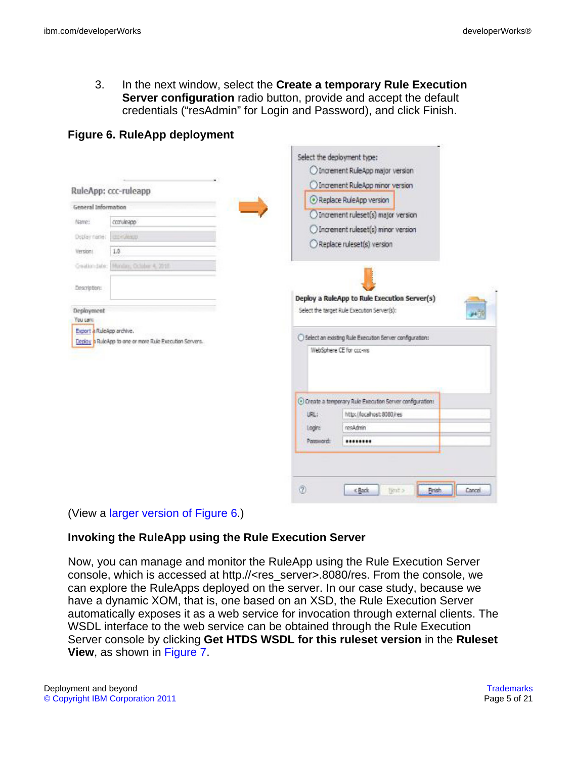3. In the next window, select the **Create a temporary Rule Execution Server configuration** radio button, provide and accept the default credentials ("resAdmin" for Login and Password), and click Finish.

|                                                                                                                                       | RuleApp: ccc-ruleapp |                                                                                                          | Select the deployment type:<br>O Increment RuleApp major version<br>O Increment RuleApp minor version<br>Replace RuleApp version                                                    |  |  |
|---------------------------------------------------------------------------------------------------------------------------------------|----------------------|----------------------------------------------------------------------------------------------------------|-------------------------------------------------------------------------------------------------------------------------------------------------------------------------------------|--|--|
| General Information<br>Name:<br>consiegge<br>Doplay name:<br>cho-Geap.<br>1.0<br>Version!<br>Honizy, Oclober 4, 2718<br>Geation date: |                      | Increment ruleset(s) major version<br>O Increment ruleset(s) minor version<br>Replace ruleset(s) version |                                                                                                                                                                                     |  |  |
| Description:<br>Deployment<br>You card<br>Export a RuleApp archive.<br>Deploy & RuleApp to one or more Rule Execution Servers.        |                      |                                                                                                          | Deploy a RuleApp to Rule Execution Server(s)<br>Select the target Rule Execution Server(s):<br>○ Select an existing Rule Execution Server configuration:<br>WebSphere CE for ccc-ws |  |  |
|                                                                                                                                       |                      | URL:<br>Logins<br>Password!                                                                              | C Create a temporary Rule Execution Server configurations<br>http://ocahost:8080/res<br>resAdmin<br>                                                                                |  |  |

## <span id="page-4-0"></span>**Figure 6. RuleApp deployment**

(View a [larger version of Figure 6.](sidefile-figure6lrg.html))

#### **Invoking the RuleApp using the Rule Execution Server**

Now, you can manage and monitor the RuleApp using the Rule Execution Server console, which is accessed at http.//<res\_server>.8080/res. From the console, we can explore the RuleApps deployed on the server. In our case study, because we have a dynamic XOM, that is, one based on an XSD, the Rule Execution Server automatically exposes it as a web service for invocation through external clients. The WSDL interface to the web service can be obtained through the Rule Execution Server console by clicking **Get HTDS WSDL for this ruleset version** in the **Ruleset View**, as shown in [Figure 7.](#page-5-0)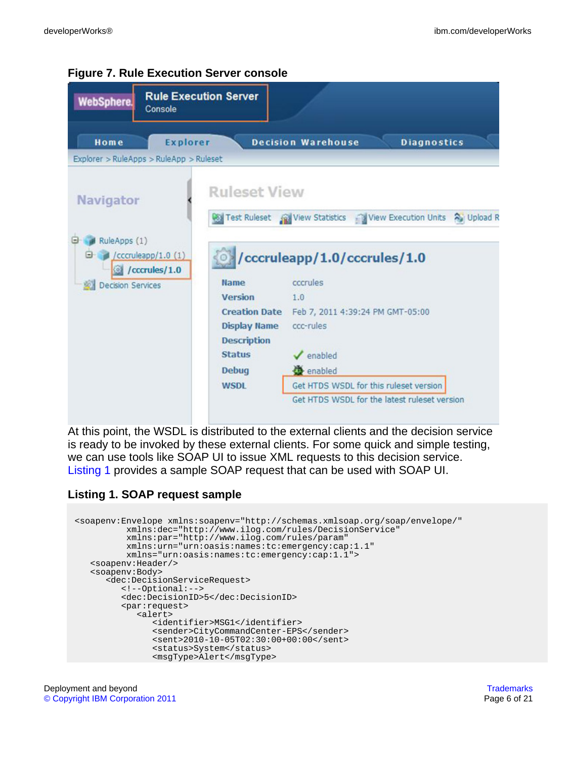| <b>WebSphere.</b>                | <b>Rule Execution Server</b><br>Console               |                                           |                                                                    |  |
|----------------------------------|-------------------------------------------------------|-------------------------------------------|--------------------------------------------------------------------|--|
| Home                             | <b>Explorer</b>                                       |                                           | <b>Decision Warehouse</b><br><b>Diagnostics</b>                    |  |
|                                  | Explorer > RuleApps > RuleApp > Ruleset               |                                           |                                                                    |  |
| <b>Navigator</b><br>RuleApps (1) |                                                       | <b>Ruleset View</b>                       | Test Ruleset (a) View Statistics (Niew Execution Units 2) Upload R |  |
|                                  | $/$ cccruleapp $/1.0$ $(1)$<br><i>C</i> /cccrules/1.0 |                                           | /cccruleapp/1.0/cccrules/1.0                                       |  |
| <b>Decision Services</b>         |                                                       | <b>Name</b>                               | cocrules                                                           |  |
|                                  |                                                       | <b>Version</b>                            | 1.0                                                                |  |
|                                  |                                                       |                                           | Creation Date Feb 7, 2011 4:39:24 PM GMT-05:00                     |  |
|                                  |                                                       | <b>Display Name</b><br><b>Description</b> | ccc-rules                                                          |  |
|                                  |                                                       | <b>Status</b>                             | $\sqrt{\frac{1}{2}}$ enabled                                       |  |
|                                  |                                                       | <b>Debug</b>                              | enabled                                                            |  |
|                                  |                                                       | <b>WSDI</b>                               | Get HTDS WSDL for this ruleset version                             |  |
|                                  |                                                       |                                           | Get HTDS WSDL for the latest ruleset version                       |  |

#### <span id="page-5-0"></span>**Figure 7. Rule Execution Server console**

At this point, the WSDL is distributed to the external clients and the decision service is ready to be invoked by these external clients. For some quick and simple testing, we can use tools like SOAP UI to issue XML requests to this decision service. [Listing 1](#page-5-1) provides a sample SOAP request that can be used with SOAP UI.

#### <span id="page-5-1"></span>**Listing 1. SOAP request sample**

```
<soapenv:Envelope xmlns:soapenv="http://schemas.xmlsoap.org/soap/envelope/"
         xmlns:dec="http://www.ilog.com/rules/DecisionService"
         xmlns:par="http://www.ilog.com/rules/param"
         xmlns:urn="urn:oasis:names:tc:emergency:cap:1.1"
         xmlns="urn:oasis:names:tc:emergency:cap:1.1">
  <soapenv:Header/>
  <soapenv:Body>
      <dec:DecisionServiceRequest>
        <!--Optional:-->
        <dec:DecisionID>5</dec:DecisionID>
        <par:request>
           <alert>
               <identifier>MSG1</identifier>
               <sender>CityCommandCenter-EPS</sender>
               <sent>2010-10-05T02:30:00+00:00</sent>
              <status>System</status>
               <msgType>Alert</msgType>
```
Deployment and beyond [Trademarks](http://www.ibm.com/developerworks/ibm/trademarks/)<br>
© Copyright IBM Corporation 2011 [© Copyright IBM Corporation 2011](http://www.ibm.com/legal/copytrade.shtml)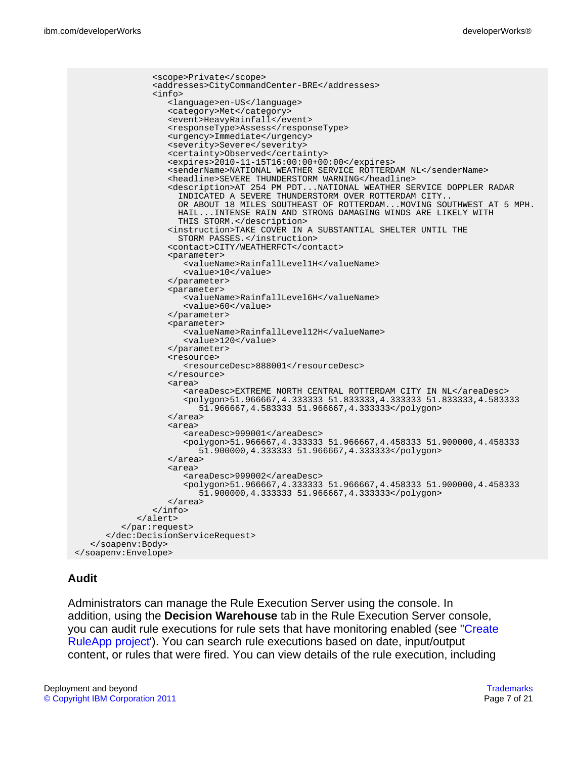```
<scope>Private</scope>
               <addresses>CityCommandCenter-BRE</addresses>
               <info>
                  <language>en-US</language>
                  <category>Met</category>
                  <event>HeavyRainfall</event>
                  <responseType>Assess</responseType>
                  <urgency>Immediate</urgency>
                  <severity>Severe</severity>
                  <certainty>Observed</certainty>
                  <expires>2010-11-15T16:00:00+00:00</expires>
                  <senderName>NATIONAL WEATHER SERVICE ROTTERDAM NL</senderName>
                  <headline>SEVERE THUNDERSTORM WARNING</headline>
                  <description>AT 254 PM PDT...NATIONAL WEATHER SERVICE DOPPLER RADAR
                    INDICATED A SEVERE THUNDERSTORM OVER ROTTERDAM CITY..
                    OR ABOUT 18 MILES SOUTHEAST OF ROTTERDAM...MOVING SOUTHWEST AT 5 MPH.
                    HAIL...INTENSE RAIN AND STRONG DAMAGING WINDS ARE LIKELY WITH
                    THIS STORM.</description>
                  <instruction>TAKE COVER IN A SUBSTANTIAL SHELTER UNTIL THE
                    STORM PASSES.</instruction>
                  <contact>CITY/WEATHERFCT</contact>
                  <parameter>
                     <valueName>RainfallLevel1H</valueName>
                     <value>10</value>
                  </parameter>
                  <parameter>
                     <valueName>RainfallLevel6H</valueName>
                     <value>60</value>
                  </parameter>
                  <parameter>
                     <valueName>RainfallLevel12H</valueName>
                     <value>120</value>
                  </parameter>
                  <resource>
                     <resourceDesc>888001</resourceDesc>
                  </resource>
                  <area>
                     <areaDesc>EXTREME NORTH CENTRAL ROTTERDAM CITY IN NL</areaDesc>
                     <polygon>51.966667,4.333333 51.833333,4.333333 51.833333,4.583333
                        51.966667,4.583333 51.966667,4.333333</polygon>
                  </area>
                  <area>
                     <areaDesc>999001</areaDesc>
                     <polygon>51.966667,4.333333 51.966667,4.458333 51.900000,4.458333
                        51.900000,4.333333 51.966667,4.333333</polygon>
                  </area>
                  <area>
                     <areaDesc>999002</areaDesc>
                     <polygon>51.966667,4.333333 51.966667,4.458333 51.900000,4.458333
                        51.900000,4.333333 51.966667,4.333333</polygon>
                  </area>
               </info>
            </alert>
         </par:request>
      </dec:DecisionServiceRequest>
  </soapenv:Body>
</soapenv:Envelope>
```
#### **Audit**

Administrators can manage the Rule Execution Server using the console. In addition, using the **Decision Warehouse** tab in the Rule Execution Server console, you can audit rule executions for rule sets that have monitoring enabled (se[e "Create](#page-2-2) [RuleApp project](#page-2-2)'). You can search rule executions based on date, input/output content, or rules that were fired. You can view details of the rule execution, including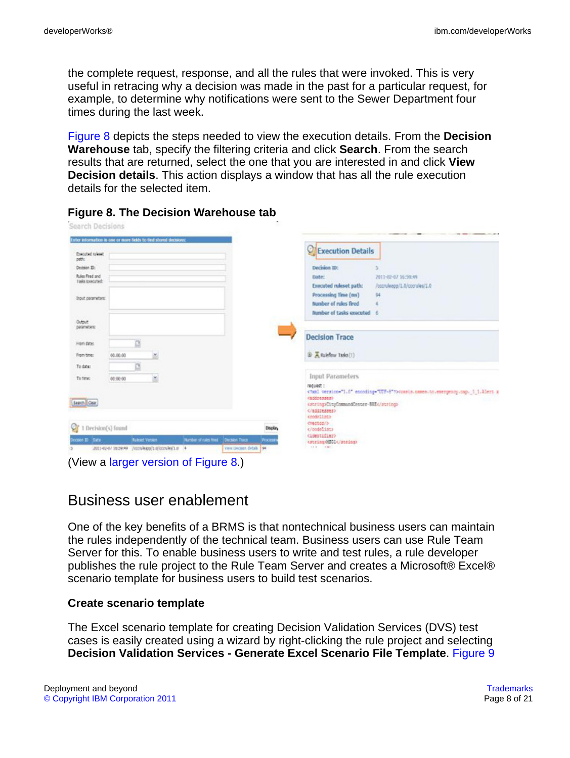the complete request, response, and all the rules that were invoked. This is very useful in retracing why a decision was made in the past for a particular request, for example, to determine why notifications were sent to the Sewer Department four times during the last week.

[Figure 8](#page-7-0) depicts the steps needed to view the execution details. From the **Decision Warehouse** tab, specify the filtering criteria and click **Search**. From the search results that are returned, select the one that you are interested in and click **View Decision details**. This action displays a window that has all the rule execution details for the selected item.

|                                                 | inter information in one or more fields to find stored decisions: |   |                       |                           | <b>Execution Details</b>                                  |                                                                                 |
|-------------------------------------------------|-------------------------------------------------------------------|---|-----------------------|---------------------------|-----------------------------------------------------------|---------------------------------------------------------------------------------|
| Executed ruleset<br>peth:                       |                                                                   |   |                       |                           |                                                           |                                                                                 |
| Decision ID:                                    |                                                                   |   |                       |                           | Decision III:                                             |                                                                                 |
| <b>Rules Fired and</b><br><b>Taks Executed:</b> |                                                                   |   |                       |                           | Date:<br>Executed ruleset path:                           | 2011-02-07 16:59:49<br>/cccruleapg/1.0/cccrules/1.0                             |
|                                                 |                                                                   |   |                       |                           | Processing Time (ms)                                      | 94                                                                              |
| Input parameters:                               |                                                                   |   |                       |                           | Number of rules fired                                     |                                                                                 |
|                                                 |                                                                   |   |                       |                           | Number of tasks executed                                  |                                                                                 |
| Output<br>parameters:                           |                                                                   |   |                       |                           |                                                           |                                                                                 |
| Fram date:                                      | ₫                                                                 |   |                       |                           | <b>Decision Trace</b>                                     |                                                                                 |
| From time:                                      | 00:00:00                                                          | M |                       |                           | B A Ruleflow Tasks(1)                                     |                                                                                 |
| To date:                                        | ₫                                                                 |   |                       |                           |                                                           |                                                                                 |
| To time:                                        | 00:00:00                                                          | ۳ |                       |                           | Input Parameters                                          |                                                                                 |
|                                                 |                                                                   |   |                       |                           | request :                                                 | cial version-"1.0" encoding-"UTF-8" pocusis names to energency cap. 1 1.Alert a |
|                                                 |                                                                   |   |                       |                           | capitresses)                                              |                                                                                 |
| Search Osar                                     |                                                                   |   |                       |                           | catringsCityCommandCenter-BRE4/strings<br>                |                                                                                 |
|                                                 |                                                                   |   |                       |                           | crodeligth                                                |                                                                                 |
| 1 Decision(s) found                             |                                                                   |   |                       | Display                   | crectos!><br>                                             |                                                                                 |
| comes El Cata                                   | <b>Ruleset Version</b>                                            |   | Number of rules fired | Decision Trace<br>PEDCESS | <br>distribution<br><acrimpas51< acrimp=""></acrimpas51<> |                                                                                 |
|                                                 | 2011-02-07 16:59:49 (00000800/1/00000001.0 4                      |   |                       | View Decast details 194   | 14.4 141                                                  |                                                                                 |

#### <span id="page-7-0"></span>**Figure 8. The Decision Warehouse tab**

# Business user enablement

One of the key benefits of a BRMS is that nontechnical business users can maintain the rules independently of the technical team. Business users can use Rule Team Server for this. To enable business users to write and test rules, a rule developer publishes the rule project to the Rule Team Server and creates a Microsoft® Excel® scenario template for business users to build test scenarios.

#### **Create scenario template**

The Excel scenario template for creating Decision Validation Services (DVS) test cases is easily created using a wizard by right-clicking the rule project and selecting **Decision Validation Services - Generate Excel Scenario File Template**. [Figure 9](#page-8-0)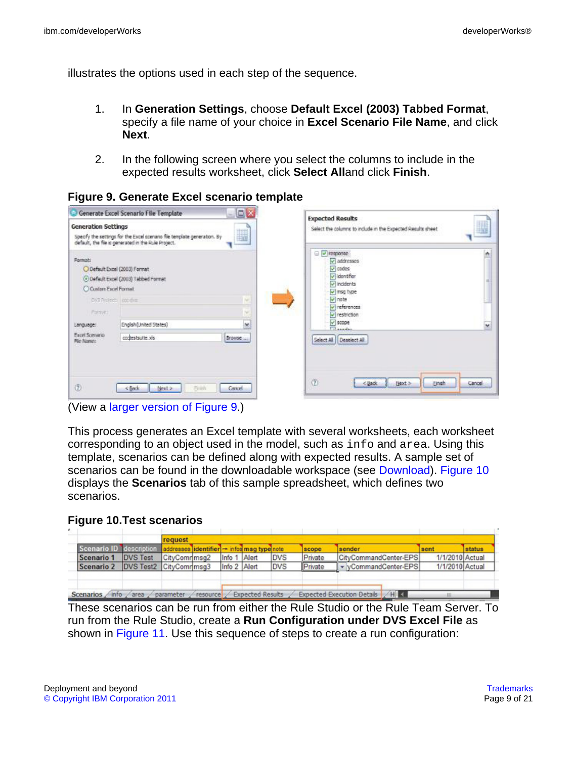illustrates the options used in each step of the sequence.

- 1. In **Generation Settings**, choose **Default Excel (2003) Tabbed Format**, specify a file name of your choice in **Excel Scenario File Name**, and click **Next**.
- 2. In the following screen where you select the columns to include in the expected results worksheet, click **Select All**and click **Finish**.

<span id="page-8-0"></span>**Figure 9. Generate Excel scenario template**

| <b>Generation Settings</b>                                                                | H<br>Specify the settings for the Excel scenario file template generation. By<br>default, the file is generated in the Rule Project. | <b>Expected Results</b><br>H<br>Select the columns to include in the Expected Results sheet                                 |
|-------------------------------------------------------------------------------------------|--------------------------------------------------------------------------------------------------------------------------------------|-----------------------------------------------------------------------------------------------------------------------------|
| Format:<br>O Default Excel (2003) Format<br>C Custom Excel Formet<br>DIS Rivierb location | O Default Excel (2003) Tabbed Format<br>$\mathcal{L}$                                                                                | ×<br>$\Box$ $\Box$ response<br>v addresses<br>$ v $ codes:<br>v Identifier<br>[v] incidents<br>v msg type<br>$\sqrt{}$ note |
| <b>Firmshi</b><br>Language:<br><b>Excel Scenario</b><br>File Name:                        | w<br>se.<br>English(United States)<br>cochestsuite xis<br>Browse                                                                     | v references<br>$ v $ restriction<br>$ v $ scope.<br>w<br><b>Fillmonton</b><br>Select All Deselect All                      |
| ⑦                                                                                         | Cancel.<br><back<br>Next &gt;<br/>Finish</back<br>                                                                                   | (2)<br>Next ><br><b>Unsh</b><br>Cancel<br>$<$ (lack                                                                         |

(View a [larger version of Figure 9.](sidefile-figure9lrg.html))

This process generates an Excel template with several worksheets, each worksheet corresponding to an object used in the model, such as info and area. Using this template, scenarios can be defined along with expected results. A sample set of scenarios can be found in the downloadable workspace (see [Download](#page-18-0)). [Figure 10](#page-8-1) displays the **Scenarios** tab of this sample spreadsheet, which defines two scenarios.

#### <span id="page-8-1"></span>**Figure 10.Test scenarios**

|            |                         | request       |              |       |            |         |                       |                 |        |
|------------|-------------------------|---------------|--------------|-------|------------|---------|-----------------------|-----------------|--------|
|            | Scenario ID description |               |              |       |            | scope   | sender                | sent            | status |
| Scenario 1 | <b>DVS Test</b>         | CityComrimsa2 | Info         | Alert | <b>DVS</b> | Private | CityCommandCenter-EPS | 1/1/2010 Actual |        |
| Scenario 2 | DVS Test2 CityCommmsq3  |               | Info 2 Alert |       | <b>DVS</b> | Private | vCommandCenter-EPS    | 1/1/2010 Actual |        |
|            |                         |               |              |       |            |         |                       |                 |        |

These scenarios can be run from either the Rule Studio or the Rule Team Server. To run from the Rule Studio, create a **Run Configuration under DVS Excel File** as shown in [Figure 11](#page-9-0). Use this sequence of steps to create a run configuration: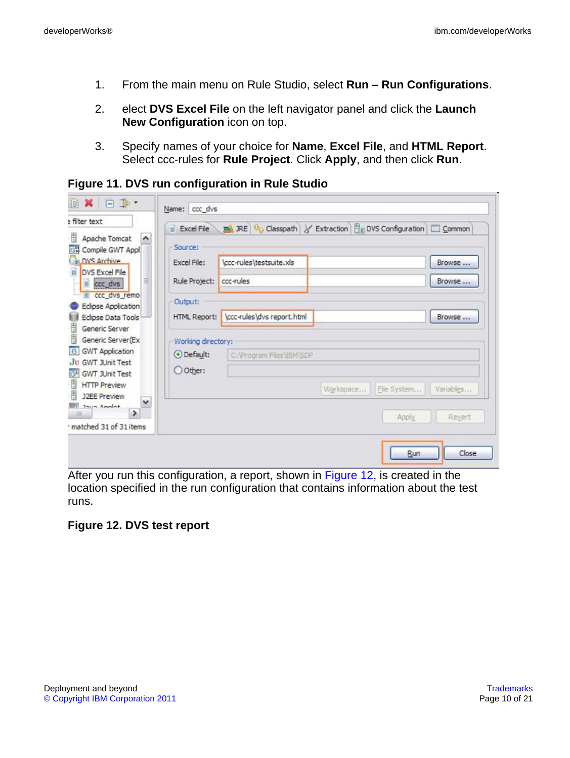- 1. From the main menu on Rule Studio, select **Run Run Configurations**.
- 2. elect **DVS Excel File** on the left navigator panel and click the **Launch New Configuration** icon on top.
- 3. Specify names of your choice for **Name**, **Excel File**, and **HTML Report**. Select ccc-rules for **Rule Project**. Click **Apply**, and then click **Run**.

<span id="page-9-0"></span>**Figure 11. DVS run configuration in Rule Studio**

|                                                 | Source:             |                            |           |             |           |
|-------------------------------------------------|---------------------|----------------------------|-----------|-------------|-----------|
| Compile GWT Appl<br>DVS Archive                 | Excel File:         | \ccc-rules\testsuite.xls   |           |             | Browse    |
| DVS Excel File<br>Ħ<br><b>B</b> ccc_dvs         | Rule Project:       | ccc-rules                  |           |             | Browse    |
| III ccc_dvs_remo<br>Eclipse Application         | Output:             |                            |           |             |           |
| Eclipse Data Tools                              | <b>HTML Report:</b> | \ccc-rules\dvs report.html |           |             | Browse    |
| Generic Server<br>Generic Server(Ex             | Working directory:  |                            |           |             |           |
| <b>GWT Application</b><br><b>GWT JUnit Test</b> | ⊙ Default:          | C: \Program Files\IBM\SDP  |           |             |           |
|                                                 | O Other:            |                            |           |             |           |
| <b>GWT JUnit Test</b>                           |                     |                            | Workspace | File System | Variables |
| <b>HTTP Preview</b><br><b>J2EE Preview</b><br>٧ |                     |                            |           |             |           |

After you run this configuration, a report, shown in [Figure 12,](#page-9-1) is created in the location specified in the run configuration that contains information about the test runs.

#### <span id="page-9-1"></span>**Figure 12. DVS test report**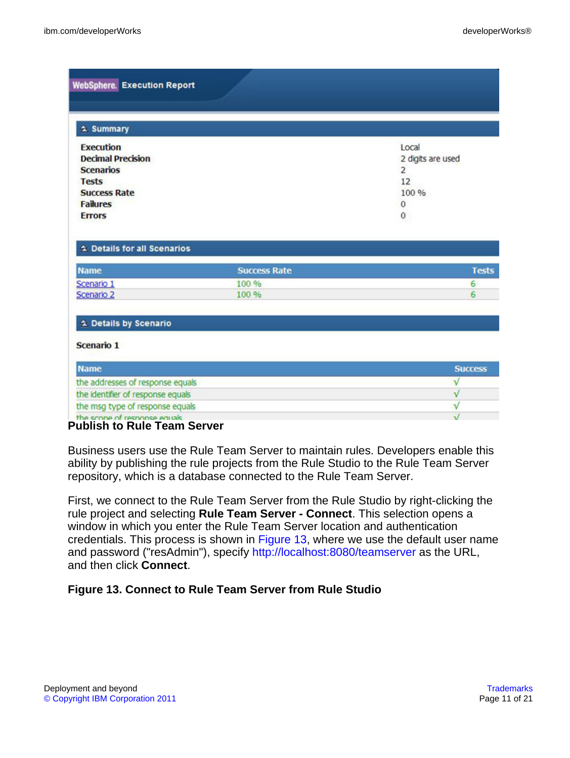| $2$ Summary                                                                                             |                                       |                                                |
|---------------------------------------------------------------------------------------------------------|---------------------------------------|------------------------------------------------|
| <b>Execution</b><br><b>Decimal Precision</b><br><b>Scenarios</b><br><b>Tests</b><br><b>Success Rate</b> |                                       | Local<br>2 digits are used<br>2<br>12<br>100 % |
| <b>Failures</b><br><b>Errors</b>                                                                        |                                       | 0<br>0                                         |
| 2. Details for all Scenarios<br><b>Name</b><br>Scenario 1<br>Scenario 2                                 | <b>Success Rate</b><br>100 %<br>100 % | <b>Tests</b><br>6<br>6                         |
| Letails by Scenario                                                                                     |                                       |                                                |
|                                                                                                         |                                       |                                                |
|                                                                                                         |                                       |                                                |
|                                                                                                         |                                       | <b>Success</b>                                 |
| Scenario 1<br><b>Name</b><br>the addresses of response equals<br>the identifier of response equals      |                                       | ν<br>$\sqrt{}$                                 |

#### **Publish to Rule Team Server**

Business users use the Rule Team Server to maintain rules. Developers enable this ability by publishing the rule projects from the Rule Studio to the Rule Team Server repository, which is a database connected to the Rule Team Server.

First, we connect to the Rule Team Server from the Rule Studio by right-clicking the rule project and selecting **Rule Team Server - Connect**. This selection opens a window in which you enter the Rule Team Server location and authentication credentials. This process is shown in [Figure 13](#page-10-0), where we use the default user name and password ("resAdmin"), specify <http://localhost:8080/teamserver> as the URL, and then click **Connect**.

#### <span id="page-10-0"></span>**Figure 13. Connect to Rule Team Server from Rule Studio**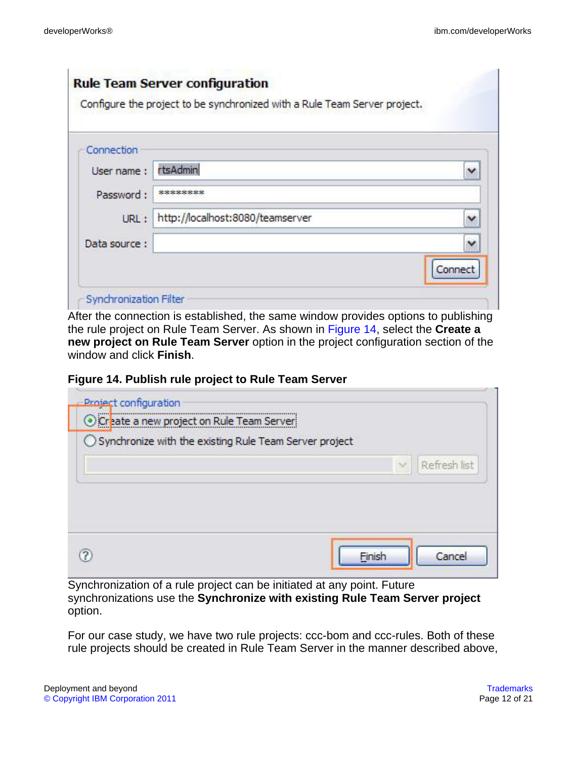|               | Configure the project to be synchronized with a Rule Team Server project. |              |
|---------------|---------------------------------------------------------------------------|--------------|
| Connection    |                                                                           |              |
| User name:    | rtsAdmin                                                                  | $\checkmark$ |
| Password:     | ********                                                                  |              |
| URL:          | http://localhost:8080/teamserver                                          | v            |
| Data source : |                                                                           | $\checkmark$ |
|               |                                                                           | Connect      |

After the connection is established, the same window provides options to publishing the rule project on Rule Team Server. As shown in [Figure 14,](#page-11-0) select the **Create a new project on Rule Team Server** option in the project configuration section of the window and click **Finish**.

<span id="page-11-0"></span>

|  | Figure 14. Publish rule project to Rule Team Server |  |  |
|--|-----------------------------------------------------|--|--|
|--|-----------------------------------------------------|--|--|

| <b>Project configuration</b><br>O Create a new project on Rule Team Server<br>○ Synchronize with the existing Rule Team Server project |              |
|----------------------------------------------------------------------------------------------------------------------------------------|--------------|
|                                                                                                                                        | Refresh list |
|                                                                                                                                        |              |
|                                                                                                                                        |              |
| Finish                                                                                                                                 | Cancel       |

Synchronization of a rule project can be initiated at any point. Future synchronizations use the **Synchronize with existing Rule Team Server project** option.

For our case study, we have two rule projects: ccc-bom and ccc-rules. Both of these rule projects should be created in Rule Team Server in the manner described above,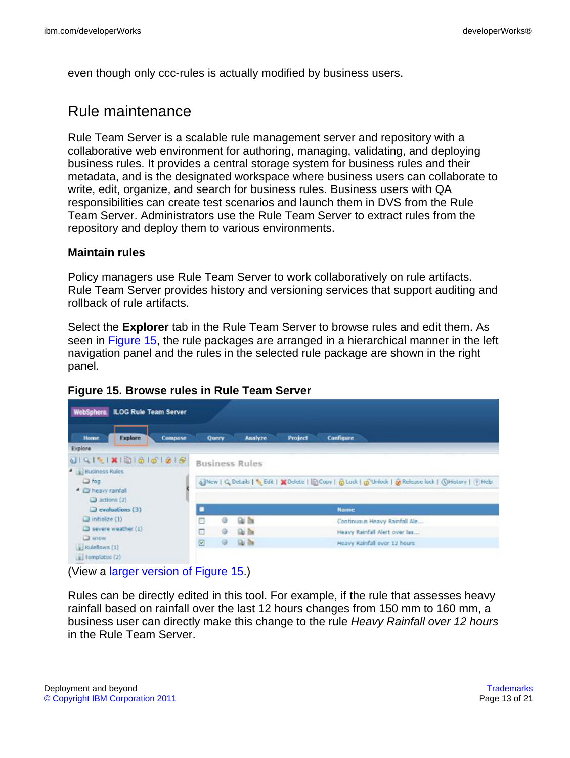even though only ccc-rules is actually modified by business users.

## Rule maintenance

Rule Team Server is a scalable rule management server and repository with a collaborative web environment for authoring, managing, validating, and deploying business rules. It provides a central storage system for business rules and their metadata, and is the designated workspace where business users can collaborate to write, edit, organize, and search for business rules. Business users with QA responsibilities can create test scenarios and launch them in DVS from the Rule Team Server. Administrators use the Rule Team Server to extract rules from the repository and deploy them to various environments.

#### **Maintain rules**

Policy managers use Rule Team Server to work collaboratively on rule artifacts. Rule Team Server provides history and versioning services that support auditing and rollback of rule artifacts.

Select the **Explorer** tab in the Rule Team Server to browse rules and edit them. As seen in [Figure 15,](#page-12-0) the rule packages are arranged in a hierarchical manner in the left navigation panel and the rules in the selected rule package are shown in the right panel.

| WebSphere, ILOG Rule Team Server                                                       |                                                |                                                                                                         |
|----------------------------------------------------------------------------------------|------------------------------------------------|---------------------------------------------------------------------------------------------------------|
| <b>Explore</b><br>Compose<br><b>Home</b><br>Explore                                    | Analyze<br>Query                               | Project<br><b>Configure</b>                                                                             |
| <sup>4</sup> Business Rules<br><b>D</b> fog<br>· Ca heavy ranfall<br>$3$ actions $(2)$ | <b>Business Rules</b>                          | 6 New   Q Details   % Edit   M Delete   El Copy   옵 Look   옵 Unlock   G Release lock   ①History   ①Help |
| $\Box$ evaluations (3)                                                                 |                                                | <b>Name</b>                                                                                             |
| $\Box$ intialize $(1)$                                                                 | $Q_0$ in<br>г                                  | Continuous Heavy Rainfall Ale                                                                           |
| $\Box$ severe weather (1)                                                              | 身面<br>с<br>⊕                                   | Heavy Rainfall Alert over las                                                                           |
| Snow<br>Radeflows (1)<br>Tomolates (2)                                                 | <b>Gui its</b><br>$\overline{\mathbf{z}}$<br>⊕ | Heavy Rainfall over 12 hours.                                                                           |

#### <span id="page-12-0"></span>**Figure 15. Browse rules in Rule Team Server**

(View a [larger version of Figure 15](sidefile-figure15lrg.html).)

Rules can be directly edited in this tool. For example, if the rule that assesses heavy rainfall based on rainfall over the last 12 hours changes from 150 mm to 160 mm, a business user can directly make this change to the rule Heavy Rainfall over 12 hours in the Rule Team Server.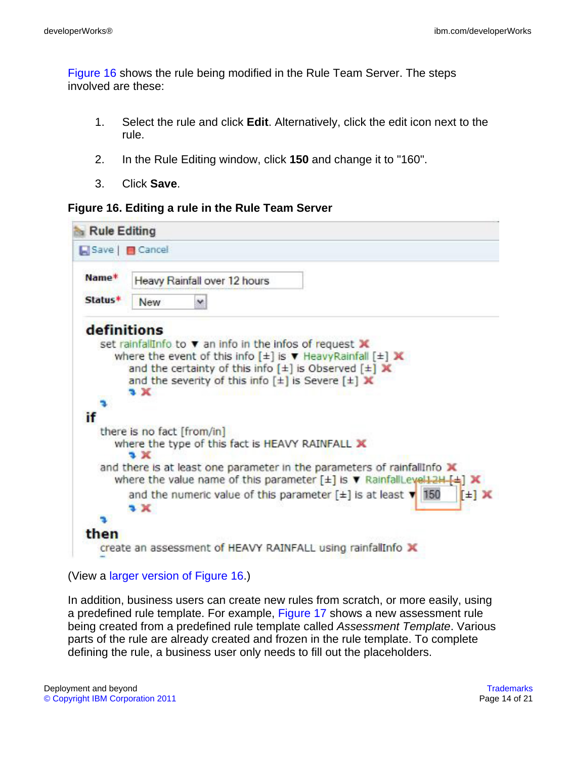[Figure 16](#page-13-0) shows the rule being modified in the Rule Team Server. The steps involved are these:

- 1. Select the rule and click **Edit**. Alternatively, click the edit icon next to the rule.
- 2. In the Rule Editing window, click **150** and change it to "160".
- 3. Click **Save**.

#### <span id="page-13-0"></span>**Figure 16. Editing a rule in the Rule Team Server**

| <b>Rule Editing</b>                      |                                                                                                                                                                              |  |  |  |
|------------------------------------------|------------------------------------------------------------------------------------------------------------------------------------------------------------------------------|--|--|--|
| Save <b>B</b> Cancel                     |                                                                                                                                                                              |  |  |  |
| Name <sup>*</sup><br>Status <sup>*</sup> | Heavy Rainfall over 12 hours                                                                                                                                                 |  |  |  |
|                                          | <b>New</b>                                                                                                                                                                   |  |  |  |
| definitions                              |                                                                                                                                                                              |  |  |  |
|                                          | set rainfall info to $\mathbf v$ an info in the infos of request $\mathbf x$                                                                                                 |  |  |  |
|                                          | where the event of this info $[\pm]$ is $\blacktriangledown$ Heavy Rainfall $[\pm]$ X                                                                                        |  |  |  |
|                                          | and the certainty of this info $[\pm]$ is Observed $[\pm] X$                                                                                                                 |  |  |  |
|                                          | and the severity of this info $[\pm]$ is Severe $[\pm]$ X                                                                                                                    |  |  |  |
|                                          | ъx                                                                                                                                                                           |  |  |  |
|                                          |                                                                                                                                                                              |  |  |  |
| ïf                                       |                                                                                                                                                                              |  |  |  |
|                                          | there is no fact [from/in]                                                                                                                                                   |  |  |  |
|                                          | where the type of this fact is HEAVY RAINFALL X<br>ъx                                                                                                                        |  |  |  |
|                                          | and there is at least one parameter in the parameters of rainfallInfo X<br>where the value name of this parameter $[\pm]$ is $\nabla$ RainfallLevel12H-[ $\pm$ ] $\mathbb X$ |  |  |  |
|                                          | and the numeric value of this parameter $[\pm]$ is at least $\mathbf{v}$ 150<br>$[\pm]$ X                                                                                    |  |  |  |
|                                          | 2x                                                                                                                                                                           |  |  |  |
|                                          |                                                                                                                                                                              |  |  |  |
| then                                     |                                                                                                                                                                              |  |  |  |
|                                          | create an assessment of HEAVY RAINFALL using rainfallInfo X                                                                                                                  |  |  |  |
|                                          |                                                                                                                                                                              |  |  |  |

(View a [larger version of Figure 16](sidefile-figure16lrg.html).)

In addition, business users can create new rules from scratch, or more easily, using a predefined rule template. For example, [Figure 17](#page-14-0) shows a new assessment rule being created from a predefined rule template called Assessment Template. Various parts of the rule are already created and frozen in the rule template. To complete defining the rule, a business user only needs to fill out the placeholders.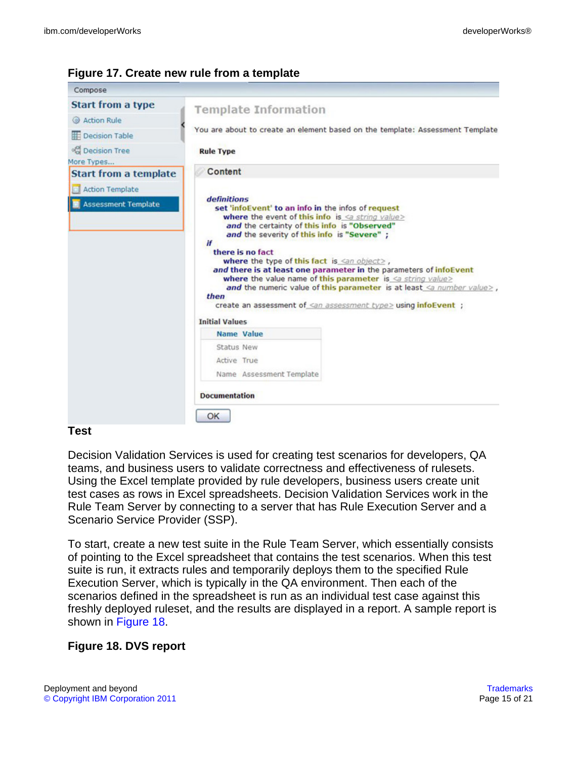| Compose                                                   |                                                                                                                                                                                                                                                                                                                                                                                                                                                                                                                                                                                                                              |  |  |
|-----------------------------------------------------------|------------------------------------------------------------------------------------------------------------------------------------------------------------------------------------------------------------------------------------------------------------------------------------------------------------------------------------------------------------------------------------------------------------------------------------------------------------------------------------------------------------------------------------------------------------------------------------------------------------------------------|--|--|
| <b>Start from a type</b>                                  | <b>Template Information</b>                                                                                                                                                                                                                                                                                                                                                                                                                                                                                                                                                                                                  |  |  |
| Action Rule                                               |                                                                                                                                                                                                                                                                                                                                                                                                                                                                                                                                                                                                                              |  |  |
| <b>IE</b> Decision Table                                  | You are about to create an element based on the template: Assessment Template                                                                                                                                                                                                                                                                                                                                                                                                                                                                                                                                                |  |  |
| <sup>o</sup> Decision Tree                                | <b>Rule Type</b>                                                                                                                                                                                                                                                                                                                                                                                                                                                                                                                                                                                                             |  |  |
| More Types                                                |                                                                                                                                                                                                                                                                                                                                                                                                                                                                                                                                                                                                                              |  |  |
| <b>Start from a template</b>                              | Content                                                                                                                                                                                                                                                                                                                                                                                                                                                                                                                                                                                                                      |  |  |
| <b>Action Template</b><br>ы<br><b>Assessment Template</b> | <i>definitions</i><br>set 'infoEvent' to an info in the infos of request<br>where the event of this info is $\leq a$ string value><br>and the certainty of this info is "Observed"<br>and the severity of this info is "Severe";<br>if<br>there is no fact<br>where the type of this fact is $\leq$ n object>,<br>and there is at least one parameter in the parameters of infoEvent<br>where the value name of this parameter is $\leq a$ string value><br>and the numeric value of this parameter is at least $\leq a$ number value>,<br>then<br>create an assessment of <an assessment="" type=""> using infoEvent ;</an> |  |  |
|                                                           | <b>Initial Values</b><br><b>Name Value</b>                                                                                                                                                                                                                                                                                                                                                                                                                                                                                                                                                                                   |  |  |
|                                                           | Status New                                                                                                                                                                                                                                                                                                                                                                                                                                                                                                                                                                                                                   |  |  |
|                                                           | Active True                                                                                                                                                                                                                                                                                                                                                                                                                                                                                                                                                                                                                  |  |  |
|                                                           | Name Assessment Template                                                                                                                                                                                                                                                                                                                                                                                                                                                                                                                                                                                                     |  |  |
|                                                           | <b>Documentation</b>                                                                                                                                                                                                                                                                                                                                                                                                                                                                                                                                                                                                         |  |  |
|                                                           | ОК                                                                                                                                                                                                                                                                                                                                                                                                                                                                                                                                                                                                                           |  |  |

#### <span id="page-14-0"></span>**Figure 17. Create new rule from a template**

#### **Test**

Decision Validation Services is used for creating test scenarios for developers, QA teams, and business users to validate correctness and effectiveness of rulesets. Using the Excel template provided by rule developers, business users create unit test cases as rows in Excel spreadsheets. Decision Validation Services work in the Rule Team Server by connecting to a server that has Rule Execution Server and a Scenario Service Provider (SSP).

To start, create a new test suite in the Rule Team Server, which essentially consists of pointing to the Excel spreadsheet that contains the test scenarios. When this test suite is run, it extracts rules and temporarily deploys them to the specified Rule Execution Server, which is typically in the QA environment. Then each of the scenarios defined in the spreadsheet is run as an individual test case against this freshly deployed ruleset, and the results are displayed in a report. A sample report is shown in [Figure 18](#page-14-1).

## <span id="page-14-1"></span>**Figure 18. DVS report**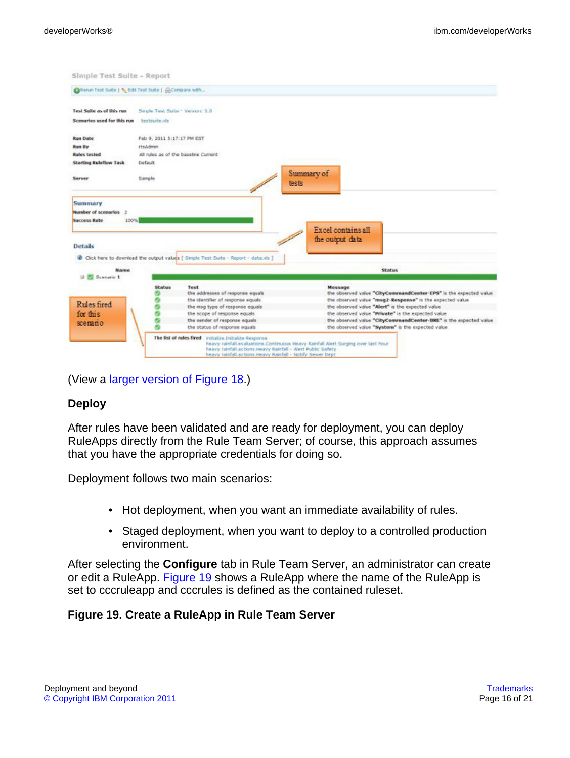| Chenun Test Suite   % Edit Test Suite   Gicompare with                 |                                   |                                                                                                                                                                                       |                                                                                    |
|------------------------------------------------------------------------|-----------------------------------|---------------------------------------------------------------------------------------------------------------------------------------------------------------------------------------|------------------------------------------------------------------------------------|
| Tural Suitar are of this run.                                          | Simple: Test Suite - Version: 1.0 |                                                                                                                                                                                       |                                                                                    |
| Scenarios used for this run                                            | sk. aduationi                     |                                                                                                                                                                                       |                                                                                    |
| <b>Run Date</b>                                                        | Feb 9, 2011 5:17:17 PM EST        |                                                                                                                                                                                       |                                                                                    |
| Run By                                                                 | rtsAdmin                          |                                                                                                                                                                                       |                                                                                    |
| <b>Rules</b> tested                                                    |                                   | All rules as of the baseline Current                                                                                                                                                  |                                                                                    |
| <b>Starting Ruleflow Task</b>                                          | Default                           |                                                                                                                                                                                       |                                                                                    |
| Server                                                                 | Sample                            |                                                                                                                                                                                       | Summary of<br>tests                                                                |
| Number of scenarios 2<br>100%<br><b>Success Rate</b><br><b>Details</b> |                                   |                                                                                                                                                                                       | Excel contains all<br>the output data                                              |
|                                                                        |                                   | Click here to download the output values [ Simple Test Suite - Report - data.xls ]                                                                                                    |                                                                                    |
| Name<br><b>B. Summerite 1</b>                                          | <b>Status</b>                     |                                                                                                                                                                                       | Status                                                                             |
|                                                                        |                                   | Test<br>the addresses of response equals                                                                                                                                              | Message<br>the observed value "CityCommandCenter-EPS" is the expected value        |
|                                                                        |                                   | the identifier of response equals                                                                                                                                                     | the observed value "msg2-Response" is the expected value                           |
| <b>Rules</b> fired                                                     |                                   | the msg type of response equals                                                                                                                                                       | the observed value "Alert" is the expected value                                   |
| for this                                                               |                                   | the scope of response equals                                                                                                                                                          | the observed value "Private" is the expected value                                 |
| scenano                                                                |                                   | the sender of response equals                                                                                                                                                         | the observed value "CityCommandCenter-BRE" is the expected value                   |
|                                                                        |                                   | the status of response equals                                                                                                                                                         | the observed value "System" is the expected value.                                 |
|                                                                        |                                   | The list of rules fired initialize. Initialize Response<br>heavy rainfall actions. Heavy Rainfall - Alert Public Safety<br>heavy rainfall actions. Heavy Rainfall - Notify Sewer Dept | heavy rainfall evaluations. Continuous Heavy Rainfall Alert Surging over last hour |

(View a [larger version of Figure 18](sidefile-figure18lrg.html).)

#### **Deploy**

After rules have been validated and are ready for deployment, you can deploy RuleApps directly from the Rule Team Server; of course, this approach assumes that you have the appropriate credentials for doing so.

Deployment follows two main scenarios:

- Hot deployment, when you want an immediate availability of rules.
- Staged deployment, when you want to deploy to a controlled production environment.

After selecting the **Configure** tab in Rule Team Server, an administrator can create or edit a RuleApp. [Figure 19](#page-15-0) shows a RuleApp where the name of the RuleApp is set to cccruleapp and cccrules is defined as the contained ruleset.

#### <span id="page-15-0"></span>**Figure 19. Create a RuleApp in Rule Team Server**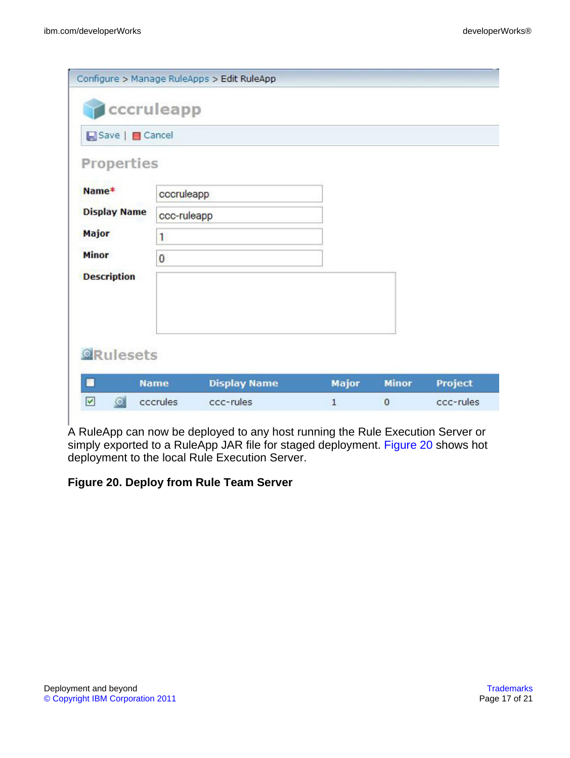|                                                   |             | Configure > Manage RuleApps > Edit RuleApp |              |              |                |
|---------------------------------------------------|-------------|--------------------------------------------|--------------|--------------|----------------|
|                                                   | cccruleapp  |                                            |              |              |                |
| Save   Cancel                                     |             |                                            |              |              |                |
| Properties                                        |             |                                            |              |              |                |
| Name*                                             | cccruleapp  |                                            |              |              |                |
| <b>Display Name</b>                               | ccc-ruleapp |                                            |              |              |                |
| Major                                             | 1           |                                            |              |              |                |
| <b>Minor</b>                                      | $\bf{0}$    |                                            |              |              |                |
| <b>Description</b>                                |             |                                            |              |              |                |
|                                                   |             |                                            |              |              |                |
|                                                   |             |                                            |              |              |                |
| <b><i><u></u></i></b> Rulesets                    |             |                                            |              |              |                |
|                                                   |             |                                            |              |              |                |
| П                                                 | <b>Name</b> | <b>Display Name</b>                        | <b>Major</b> | <b>Minor</b> | <b>Project</b> |
| ☑<br>$\left\langle \hat{\mathbf{e}}\right\rangle$ | cccrules    | ccc-rules                                  | $\mathbf{1}$ | $\mathbf{0}$ | ccc-rules      |
|                                                   |             |                                            |              |              |                |

A RuleApp can now be deployed to any host running the Rule Execution Server or simply exported to a RuleApp JAR file for staged deployment. [Figure 20](#page-16-0) shows hot deployment to the local Rule Execution Server.

### <span id="page-16-0"></span>**Figure 20. Deploy from Rule Team Server**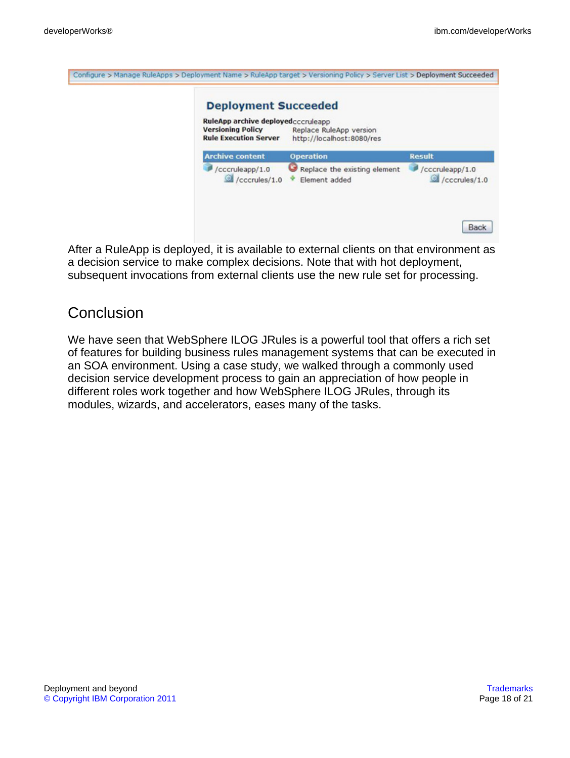Cont

| <b>Deployment Succeeded</b><br>RuleApp archive deployedcccruleapp<br><b>Versioning Policy</b><br><b>Rule Execution Server</b> | Replace RuleApp version<br>http://localhost:8080/res |                                  |
|-------------------------------------------------------------------------------------------------------------------------------|------------------------------------------------------|----------------------------------|
| <b>Archive content</b>                                                                                                        | <b>Operation</b>                                     | <b>Result</b>                    |
| /cccruleapp/1.0<br>/cccrules/1.0                                                                                              | Replace the existing element<br>Element added        | /cccruleapp/1.0<br>/cccrules/1.0 |

After a RuleApp is deployed, it is available to external clients on that environment as a decision service to make complex decisions. Note that with hot deployment, subsequent invocations from external clients use the new rule set for processing.

# **Conclusion**

We have seen that WebSphere ILOG JRules is a powerful tool that offers a rich set of features for building business rules management systems that can be executed in an SOA environment. Using a case study, we walked through a commonly used decision service development process to gain an appreciation of how people in different roles work together and how WebSphere ILOG JRules, through its modules, wizards, and accelerators, eases many of the tasks.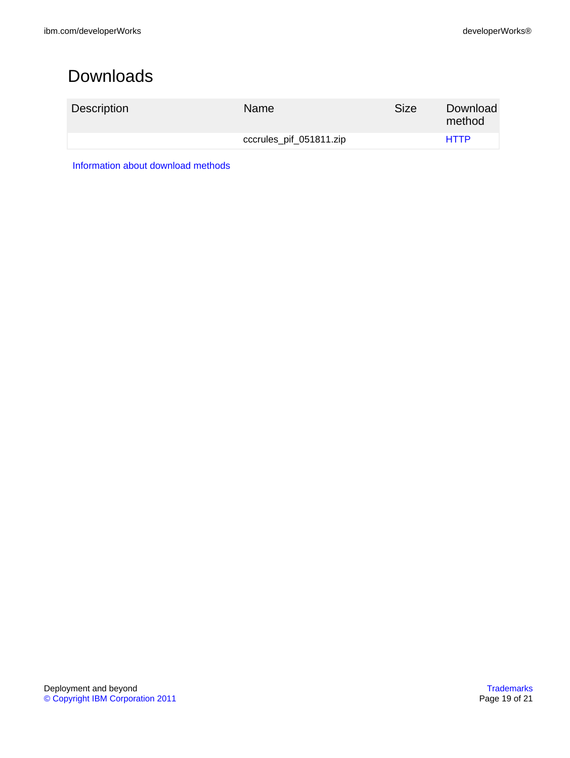# <span id="page-18-0"></span>Downloads

| Description | <b>Name</b>             | <b>Size</b> | Download<br>method |
|-------------|-------------------------|-------------|--------------------|
|             | cccrules_pif_051811.zip |             | <b>HTTP</b>        |

[Information about download methods](http://www.ibm.com/developerworks/library/whichmethod.html)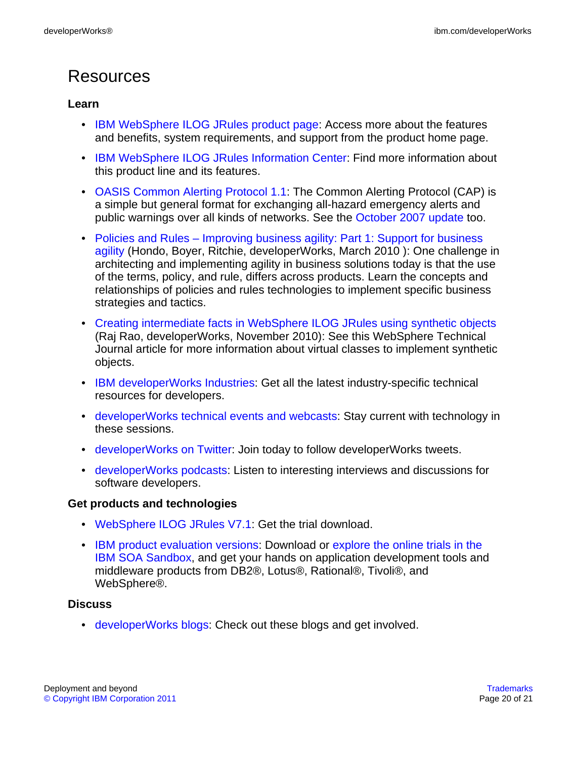# Resources

### **Learn**

- [IBM WebSphere ILOG JRules product page:](http://www.ibm.com/software/integration/business-rule-management/jrules/) Access more about the features and benefits, system requirements, and support from the product home page.
- [IBM WebSphere ILOG JRules Information Center:](http://publib.boulder.ibm.com/infocenter/brjrules/v7r1/index.jsp) Find more information about this product line and its features.
- [OASIS Common Alerting Protocol 1.1](#page-0-1): The Common Alerting Protocol (CAP) is a simple but general format for exchanging all-hazard emergency alerts and public warnings over all kinds of networks. See the [October 2007 update](http://docs.oasis-open.org/emergency/cap/v1.1/errata/CAP-v1.1-errata.html) too.
- [Policies and Rules Improving business agility: Part 1: Support for business](http://www.ibm.com/developerworks/webservices/library/ws-policyandrules/index.html) [agility](http://www.ibm.com/developerworks/webservices/library/ws-policyandrules/index.html) (Hondo, Boyer, Ritchie, developerWorks, March 2010 ): One challenge in architecting and implementing agility in business solutions today is that the use of the terms, policy, and rule, differs across products. Learn the concepts and relationships of policies and rules technologies to implement specific business strategies and tactics.
- [Creating intermediate facts in WebSphere ILOG JRules using synthetic objects](http://www.ibm.com/developerworks/websphere/techjournal/1011_rao/1011_rao.html?ca=drs-) (Raj Rao, developerWorks, November 2010): See this WebSphere Technical Journal article for more information about virtual classes to implement synthetic objects.
- [IBM developerWorks Industries:](https://www.ibm.com/developerworks/industry/) Get all the latest industry-specific technical resources for developers.
- [developerWorks technical events and webcasts:](http://www.ibm.com/developerworks/offers/techbriefings/) Stay current with technology in these sessions.
- [developerWorks on Twitter:](http://twitter.com/#!/developerworks/) Join today to follow developerWorks tweets.
- [developerWorks podcasts](http://www.ibm.com/developerworks/podcast/): Listen to interesting interviews and discussions for software developers.

### **Get products and technologies**

- [WebSphere ILOG JRules V7.1:](http://www.ibm.com/developerworks/downloads/ws/jrules/) Get the trial download.
- [IBM product evaluation versions:](http://www.ibm.com/developerworks/downloads/) Download or [explore the online trials in the](http://www.ibm.com/developerworks/downloads/soasandbox/) [IBM SOA Sandbox,](http://www.ibm.com/developerworks/downloads/soasandbox/) and get your hands on application development tools and middleware products from DB2®, Lotus®, Rational®, Tivoli®, and WebSphere®.

#### **Discuss**

• [developerWorks blogs:](https://www.ibm.com/developerworks/mydeveloperworks/blogs/?lang=en) Check out these blogs and get involved.